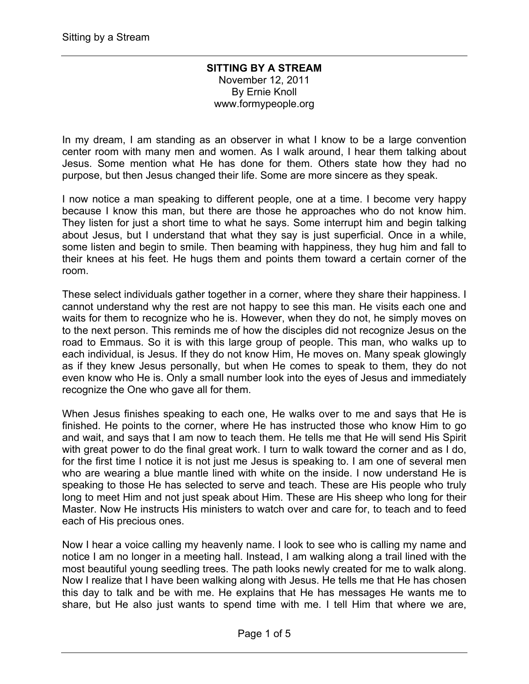## **SITTING BY A STREAM** November 12, 2011 By Ernie Knoll www.formypeople.org

In my dream, I am standing as an observer in what I know to be a large convention center room with many men and women. As I walk around, I hear them talking about Jesus. Some mention what He has done for them. Others state how they had no purpose, but then Jesus changed their life. Some are more sincere as they speak.

I now notice a man speaking to different people, one at a time. I become very happy because I know this man, but there are those he approaches who do not know him. They listen for just a short time to what he says. Some interrupt him and begin talking about Jesus, but I understand that what they say is just superficial. Once in a while, some listen and begin to smile. Then beaming with happiness, they hug him and fall to their knees at his feet. He hugs them and points them toward a certain corner of the room.

These select individuals gather together in a corner, where they share their happiness. I cannot understand why the rest are not happy to see this man. He visits each one and waits for them to recognize who he is. However, when they do not, he simply moves on to the next person. This reminds me of how the disciples did not recognize Jesus on the road to Emmaus. So it is with this large group of people. This man, who walks up to each individual, is Jesus. If they do not know Him, He moves on. Many speak glowingly as if they knew Jesus personally, but when He comes to speak to them, they do not even know who He is. Only a small number look into the eyes of Jesus and immediately recognize the One who gave all for them.

When Jesus finishes speaking to each one, He walks over to me and says that He is finished. He points to the corner, where He has instructed those who know Him to go and wait, and says that I am now to teach them. He tells me that He will send His Spirit with great power to do the final great work. I turn to walk toward the corner and as I do, for the first time I notice it is not just me Jesus is speaking to. I am one of several men who are wearing a blue mantle lined with white on the inside. I now understand He is speaking to those He has selected to serve and teach. These are His people who truly long to meet Him and not just speak about Him. These are His sheep who long for their Master. Now He instructs His ministers to watch over and care for, to teach and to feed each of His precious ones.

Now I hear a voice calling my heavenly name. I look to see who is calling my name and notice I am no longer in a meeting hall. Instead, I am walking along a trail lined with the most beautiful young seedling trees. The path looks newly created for me to walk along. Now I realize that I have been walking along with Jesus. He tells me that He has chosen this day to talk and be with me. He explains that He has messages He wants me to share, but He also just wants to spend time with me. I tell Him that where we are,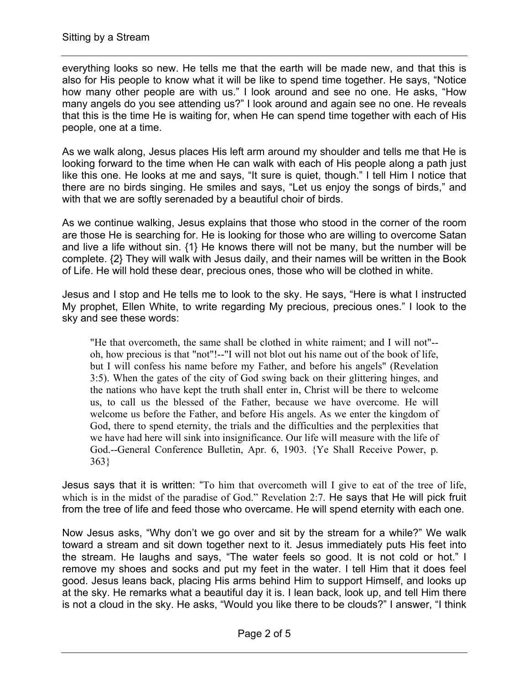everything looks so new. He tells me that the earth will be made new, and that this is also for His people to know what it will be like to spend time together. He says, "Notice how many other people are with us." I look around and see no one. He asks, "How many angels do you see attending us?" I look around and again see no one. He reveals that this is the time He is waiting for, when He can spend time together with each of His people, one at a time.

As we walk along, Jesus places His left arm around my shoulder and tells me that He is looking forward to the time when He can walk with each of His people along a path just like this one. He looks at me and says, "It sure is quiet, though." I tell Him I notice that there are no birds singing. He smiles and says, "Let us enjoy the songs of birds," and with that we are softly serenaded by a beautiful choir of birds.

As we continue walking, Jesus explains that those who stood in the corner of the room are those He is searching for. He is looking for those who are willing to overcome Satan and live a life without sin. {1} He knows there will not be many, but the number will be complete. {2} They will walk with Jesus daily, and their names will be written in the Book of Life. He will hold these dear, precious ones, those who will be clothed in white.

Jesus and I stop and He tells me to look to the sky. He says, "Here is what I instructed My prophet, Ellen White, to write regarding My precious, precious ones." I look to the sky and see these words:

"He that overcometh, the same shall be clothed in white raiment; and I will not"- oh, how precious is that "not"!--"I will not blot out his name out of the book of life, but I will confess his name before my Father, and before his angels" (Revelation 3:5). When the gates of the city of God swing back on their glittering hinges, and the nations who have kept the truth shall enter in, Christ will be there to welcome us, to call us the blessed of the Father, because we have overcome. He will welcome us before the Father, and before His angels. As we enter the kingdom of God, there to spend eternity, the trials and the difficulties and the perplexities that we have had here will sink into insignificance. Our life will measure with the life of God.--General Conference Bulletin, Apr. 6, 1903. {Ye Shall Receive Power, p. 363}

Jesus says that it is written: "To him that overcometh will I give to eat of the tree of life, which is in the midst of the paradise of God." Revelation 2:7. He says that He will pick fruit from the tree of life and feed those who overcame. He will spend eternity with each one.

Now Jesus asks, "Why don't we go over and sit by the stream for a while?" We walk toward a stream and sit down together next to it. Jesus immediately puts His feet into the stream. He laughs and says, "The water feels so good. It is not cold or hot." I remove my shoes and socks and put my feet in the water. I tell Him that it does feel good. Jesus leans back, placing His arms behind Him to support Himself, and looks up at the sky. He remarks what a beautiful day it is. I lean back, look up, and tell Him there is not a cloud in the sky. He asks, "Would you like there to be clouds?" I answer, "I think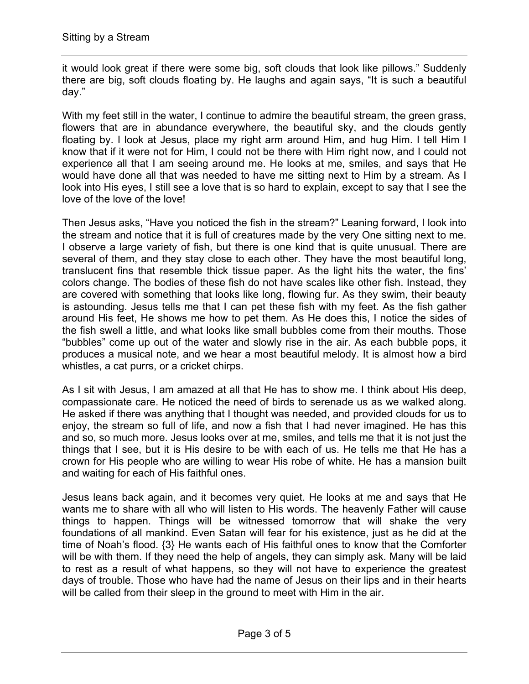it would look great if there were some big, soft clouds that look like pillows." Suddenly there are big, soft clouds floating by. He laughs and again says, "It is such a beautiful day."

With my feet still in the water, I continue to admire the beautiful stream, the green grass, flowers that are in abundance everywhere, the beautiful sky, and the clouds gently floating by. I look at Jesus, place my right arm around Him, and hug Him. I tell Him I know that if it were not for Him, I could not be there with Him right now, and I could not experience all that I am seeing around me. He looks at me, smiles, and says that He would have done all that was needed to have me sitting next to Him by a stream. As I look into His eyes, I still see a love that is so hard to explain, except to say that I see the love of the love of the love!

Then Jesus asks, "Have you noticed the fish in the stream?" Leaning forward, I look into the stream and notice that it is full of creatures made by the very One sitting next to me. I observe a large variety of fish, but there is one kind that is quite unusual. There are several of them, and they stay close to each other. They have the most beautiful long, translucent fins that resemble thick tissue paper. As the light hits the water, the fins' colors change. The bodies of these fish do not have scales like other fish. Instead, they are covered with something that looks like long, flowing fur. As they swim, their beauty is astounding. Jesus tells me that I can pet these fish with my feet. As the fish gather around His feet, He shows me how to pet them. As He does this, I notice the sides of the fish swell a little, and what looks like small bubbles come from their mouths. Those "bubbles" come up out of the water and slowly rise in the air. As each bubble pops, it produces a musical note, and we hear a most beautiful melody. It is almost how a bird whistles, a cat purrs, or a cricket chirps.

As I sit with Jesus, I am amazed at all that He has to show me. I think about His deep, compassionate care. He noticed the need of birds to serenade us as we walked along. He asked if there was anything that I thought was needed, and provided clouds for us to enjoy, the stream so full of life, and now a fish that I had never imagined. He has this and so, so much more. Jesus looks over at me, smiles, and tells me that it is not just the things that I see, but it is His desire to be with each of us. He tells me that He has a crown for His people who are willing to wear His robe of white. He has a mansion built and waiting for each of His faithful ones.

Jesus leans back again, and it becomes very quiet. He looks at me and says that He wants me to share with all who will listen to His words. The heavenly Father will cause things to happen. Things will be witnessed tomorrow that will shake the very foundations of all mankind. Even Satan will fear for his existence, just as he did at the time of Noah's flood. {3} He wants each of His faithful ones to know that the Comforter will be with them. If they need the help of angels, they can simply ask. Many will be laid to rest as a result of what happens, so they will not have to experience the greatest days of trouble. Those who have had the name of Jesus on their lips and in their hearts will be called from their sleep in the ground to meet with Him in the air.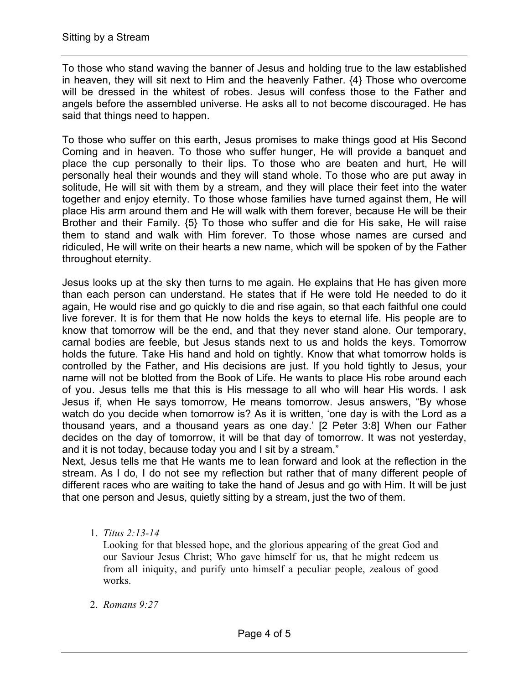To those who stand waving the banner of Jesus and holding true to the law established in heaven, they will sit next to Him and the heavenly Father. {4} Those who overcome will be dressed in the whitest of robes. Jesus will confess those to the Father and angels before the assembled universe. He asks all to not become discouraged. He has said that things need to happen.

To those who suffer on this earth, Jesus promises to make things good at His Second Coming and in heaven. To those who suffer hunger, He will provide a banquet and place the cup personally to their lips. To those who are beaten and hurt, He will personally heal their wounds and they will stand whole. To those who are put away in solitude, He will sit with them by a stream, and they will place their feet into the water together and enjoy eternity. To those whose families have turned against them, He will place His arm around them and He will walk with them forever, because He will be their Brother and their Family. {5} To those who suffer and die for His sake, He will raise them to stand and walk with Him forever. To those whose names are cursed and ridiculed, He will write on their hearts a new name, which will be spoken of by the Father throughout eternity.

Jesus looks up at the sky then turns to me again. He explains that He has given more than each person can understand. He states that if He were told He needed to do it again, He would rise and go quickly to die and rise again, so that each faithful one could live forever. It is for them that He now holds the keys to eternal life. His people are to know that tomorrow will be the end, and that they never stand alone. Our temporary, carnal bodies are feeble, but Jesus stands next to us and holds the keys. Tomorrow holds the future. Take His hand and hold on tightly. Know that what tomorrow holds is controlled by the Father, and His decisions are just. If you hold tightly to Jesus, your name will not be blotted from the Book of Life. He wants to place His robe around each of you. Jesus tells me that this is His message to all who will hear His words. I ask Jesus if, when He says tomorrow, He means tomorrow. Jesus answers, "By whose watch do you decide when tomorrow is? As it is written, 'one day is with the Lord as a thousand years, and a thousand years as one day.' [2 Peter 3:8] When our Father decides on the day of tomorrow, it will be that day of tomorrow. It was not yesterday, and it is not today, because today you and I sit by a stream."

Next, Jesus tells me that He wants me to lean forward and look at the reflection in the stream. As I do, I do not see my reflection but rather that of many different people of different races who are waiting to take the hand of Jesus and go with Him. It will be just that one person and Jesus, quietly sitting by a stream, just the two of them.

1. *Titus 2:13-14*

Looking for that blessed hope, and the glorious appearing of the great God and our Saviour Jesus Christ; Who gave himself for us, that he might redeem us from all iniquity, and purify unto himself a peculiar people, zealous of good works.

2. *Romans 9:27*